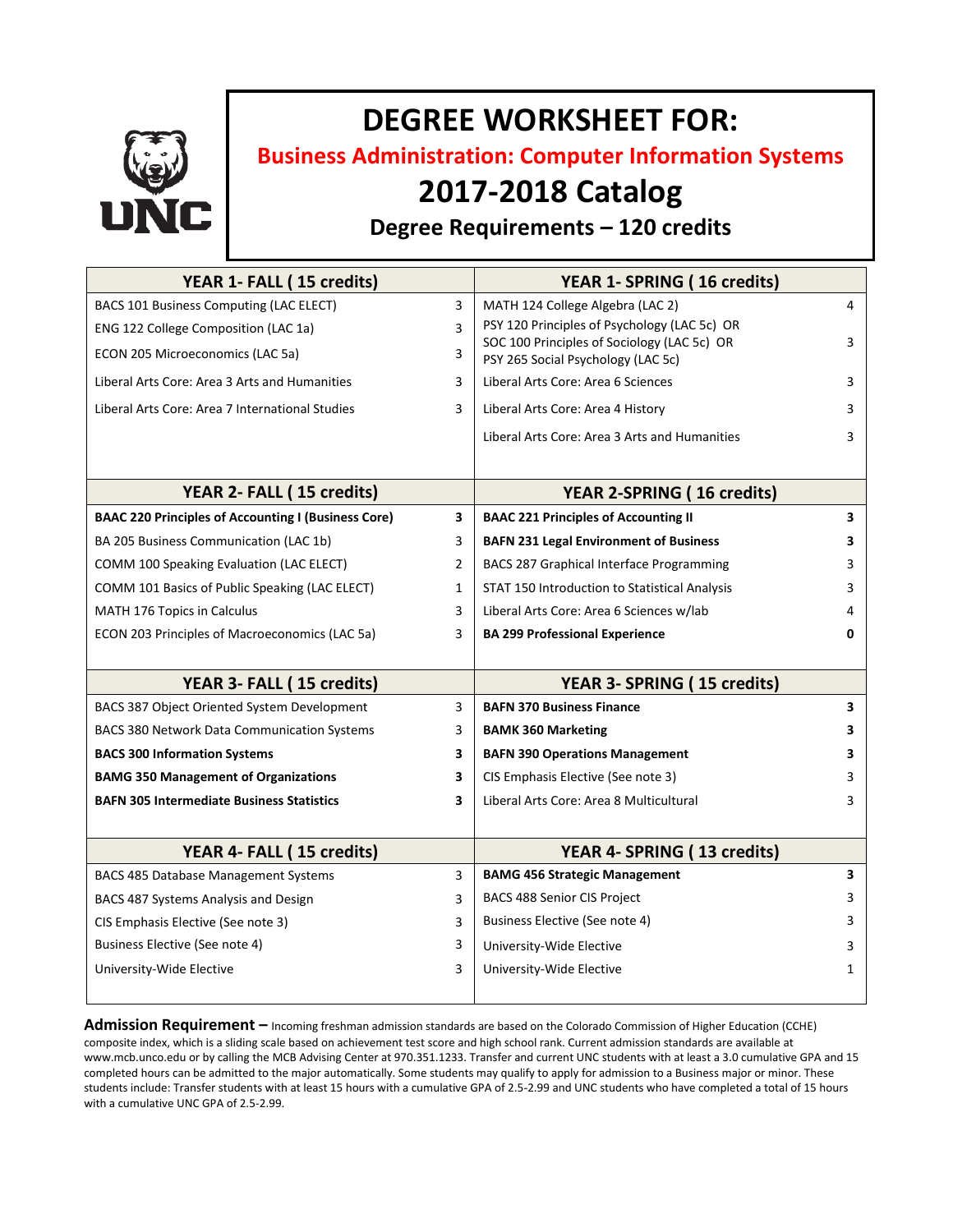

# **DEGREE WORKSHEET FOR:**

**Business Administration: Computer Information Systems**

## **2017-2018 Catalog**

### **Degree Requirements – 120 credits**

| YEAR 1- FALL (15 credits)                                  |              | YEAR 1- SPRING (16 credits)                                                       |   |
|------------------------------------------------------------|--------------|-----------------------------------------------------------------------------------|---|
| BACS 101 Business Computing (LAC ELECT)                    | 3            | MATH 124 College Algebra (LAC 2)                                                  | 4 |
| ENG 122 College Composition (LAC 1a)                       | 3            | PSY 120 Principles of Psychology (LAC 5c) OR                                      |   |
| ECON 205 Microeconomics (LAC 5a)                           | 3            | SOC 100 Principles of Sociology (LAC 5c) OR<br>PSY 265 Social Psychology (LAC 5c) | 3 |
| Liberal Arts Core: Area 3 Arts and Humanities              | 3            | Liberal Arts Core: Area 6 Sciences                                                | 3 |
| Liberal Arts Core: Area 7 International Studies            | 3            | Liberal Arts Core: Area 4 History                                                 | 3 |
|                                                            |              | Liberal Arts Core: Area 3 Arts and Humanities                                     | 3 |
|                                                            |              |                                                                                   |   |
| YEAR 2- FALL (15 credits)                                  |              | <b>YEAR 2-SPRING (16 credits)</b>                                                 |   |
| <b>BAAC 220 Principles of Accounting I (Business Core)</b> | 3            | <b>BAAC 221 Principles of Accounting II</b>                                       | 3 |
| BA 205 Business Communication (LAC 1b)                     | 3            | <b>BAFN 231 Legal Environment of Business</b>                                     | 3 |
| COMM 100 Speaking Evaluation (LAC ELECT)                   | 2            | BACS 287 Graphical Interface Programming                                          | 3 |
| COMM 101 Basics of Public Speaking (LAC ELECT)             | $\mathbf{1}$ | STAT 150 Introduction to Statistical Analysis                                     | 3 |
| MATH 176 Topics in Calculus                                | 3            | Liberal Arts Core: Area 6 Sciences w/lab                                          | 4 |
| ECON 203 Principles of Macroeconomics (LAC 5a)             | 3            | <b>BA 299 Professional Experience</b>                                             | 0 |
|                                                            |              |                                                                                   |   |
| YEAR 3- FALL (15 credits)                                  |              | YEAR 3- SPRING (15 credits)                                                       |   |
| BACS 387 Object Oriented System Development                | 3            | <b>BAFN 370 Business Finance</b>                                                  | 3 |
| <b>BACS 380 Network Data Communication Systems</b>         | 3            | <b>BAMK 360 Marketing</b>                                                         | 3 |
| <b>BACS 300 Information Systems</b>                        | 3            | <b>BAFN 390 Operations Management</b>                                             | 3 |
| <b>BAMG 350 Management of Organizations</b>                | 3            | CIS Emphasis Elective (See note 3)                                                | 3 |
| <b>BAFN 305 Intermediate Business Statistics</b>           | 3            | Liberal Arts Core: Area 8 Multicultural                                           | 3 |
|                                                            |              |                                                                                   |   |
| YEAR 4- FALL (15 credits)                                  |              | YEAR 4- SPRING (13 credits)                                                       |   |
| BACS 485 Database Management Systems                       | 3            | <b>BAMG 456 Strategic Management</b>                                              | 3 |
| BACS 487 Systems Analysis and Design                       | 3            | BACS 488 Senior CIS Project                                                       | 3 |
| CIS Emphasis Elective (See note 3)                         | 3            | Business Elective (See note 4)                                                    | 3 |
| Business Elective (See note 4)                             | 3            | University-Wide Elective                                                          | 3 |
| University-Wide Elective                                   | 3            | University-Wide Elective                                                          | 1 |
|                                                            |              |                                                                                   |   |

**Admission Requirement –** Incoming freshman admission standards are based on the Colorado Commission of Higher Education (CCHE) composite index, which is a sliding scale based on achievement test score and high school rank. Current admission standards are available at www.mcb.unco.edu or by calling the MCB Advising Center at 970.351.1233. Transfer and current UNC students with at least a 3.0 cumulative GPA and 15 completed hours can be admitted to the major automatically. Some students may qualify to apply for admission to a Business major or minor. These students include: Transfer students with at least 15 hours with a cumulative GPA of 2.5-2.99 and UNC students who have completed a total of 15 hours with a cumulative UNC GPA of 2.5-2.99.